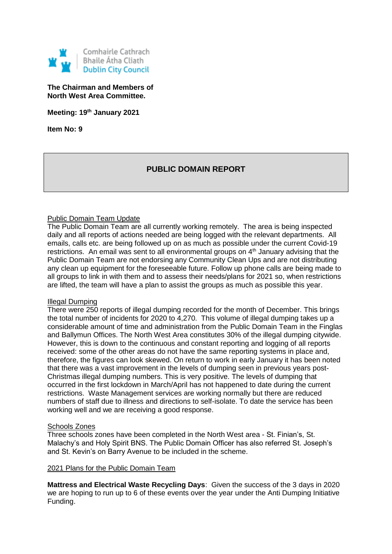

**The Chairman and Members of North West Area Committee.**

**Meeting: 19th January 2021**

**Item No: 9**

# **PUBLIC DOMAIN REPORT**

## Public Domain Team Update

The Public Domain Team are all currently working remotely. The area is being inspected daily and all reports of actions needed are being logged with the relevant departments. All emails, calls etc. are being followed up on as much as possible under the current Covid-19 restrictions. An email was sent to all environmental groups on 4<sup>th</sup> January advising that the Public Domain Team are not endorsing any Community Clean Ups and are not distributing any clean up equipment for the foreseeable future. Follow up phone calls are being made to all groups to link in with them and to assess their needs/plans for 2021 so, when restrictions are lifted, the team will have a plan to assist the groups as much as possible this year.

### Illegal Dumping

There were 250 reports of illegal dumping recorded for the month of December. This brings the total number of incidents for 2020 to 4,270. This volume of illegal dumping takes up a considerable amount of time and administration from the Public Domain Team in the Finglas and Ballymun Offices. The North West Area constitutes 30% of the illegal dumping citywide. However, this is down to the continuous and constant reporting and logging of all reports received: some of the other areas do not have the same reporting systems in place and, therefore, the figures can look skewed. On return to work in early January it has been noted that there was a vast improvement in the levels of dumping seen in previous years post-Christmas illegal dumping numbers. This is very positive. The levels of dumping that occurred in the first lockdown in March/April has not happened to date during the current restrictions. Waste Management services are working normally but there are reduced numbers of staff due to illness and directions to self-isolate. To date the service has been working well and we are receiving a good response.

### Schools Zones

Three schools zones have been completed in the North West area - St. Finian's, St. Malachy's and Holy Spirit BNS. The Public Domain Officer has also referred St. Joseph's and St. Kevin's on Barry Avenue to be included in the scheme.

### 2021 Plans for the Public Domain Team

**Mattress and Electrical Waste Recycling Days**: Given the success of the 3 days in 2020 we are hoping to run up to 6 of these events over the year under the Anti Dumping Initiative Funding.